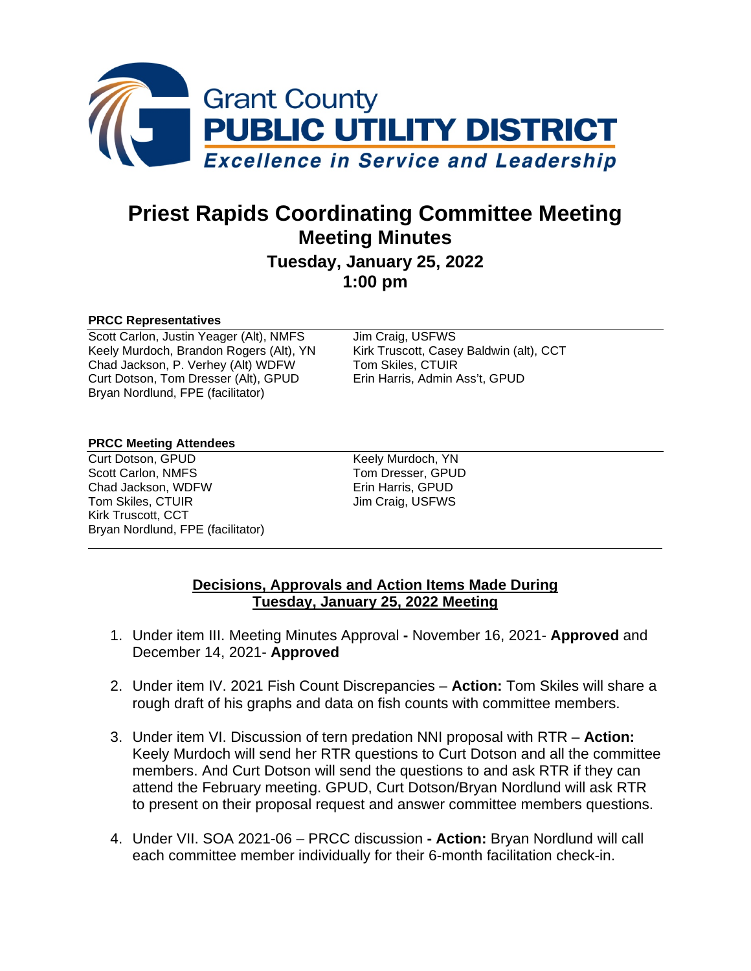

# **Priest Rapids Coordinating Committee Meeting Meeting Minutes**

### **Tuesday, January 25, 2022 1:00 pm**

#### **PRCC Representatives**

Scott Carlon, Justin Yeager (Alt), NMFS Jim Craig, USFWS<br>
Keely Murdoch, Brandon Rogers (Alt), YN Kirk Truscott, Casey Baldwin (alt), CCT Keely Murdoch, Brandon Rogers (Alt), YN Kirk Truscott, Casey<br>Chad Jackson, P. Verhey (Alt) WDFW Tom Skiles, CTUIR Chad Jackson, P. Verhey (Alt) WDFW Curt Dotson, Tom Dresser (Alt), GPUD Erin Harris, Admin Ass't, GPUD Bryan Nordlund, FPE (facilitator)

#### **PRCC Meeting Attendees**

Curt Dotson, GPUD<br>
Scott Carlon, NMFS<br>
Scott Carlon, NMFS<br>
Tom Dresser, GPUD Chad Jackson, WDFW **EXAM** Erin Harris, GPUD Tom Skiles, CTUIR Jim Craig, USFWS Kirk Truscott, CCT Bryan Nordlund, FPE (facilitator)

Tom Dresser, GPUD

#### **Decisions, Approvals and Action Items Made During Tuesday, January 25, 2022 Meeting**

- 1. Under item III. Meeting Minutes Approval **-** November 16, 2021- **Approved** and December 14, 2021- **Approved**
- 2. Under item IV. 2021 Fish Count Discrepancies **Action:** Tom Skiles will share a rough draft of his graphs and data on fish counts with committee members.
- 3. Under item VI. Discussion of tern predation NNI proposal with RTR **Action:** Keely Murdoch will send her RTR questions to Curt Dotson and all the committee members. And Curt Dotson will send the questions to and ask RTR if they can attend the February meeting. GPUD, Curt Dotson/Bryan Nordlund will ask RTR to present on their proposal request and answer committee members questions.
- 4. Under VII. SOA 2021-06 PRCC discussion **- Action:** Bryan Nordlund will call each committee member individually for their 6-month facilitation check-in.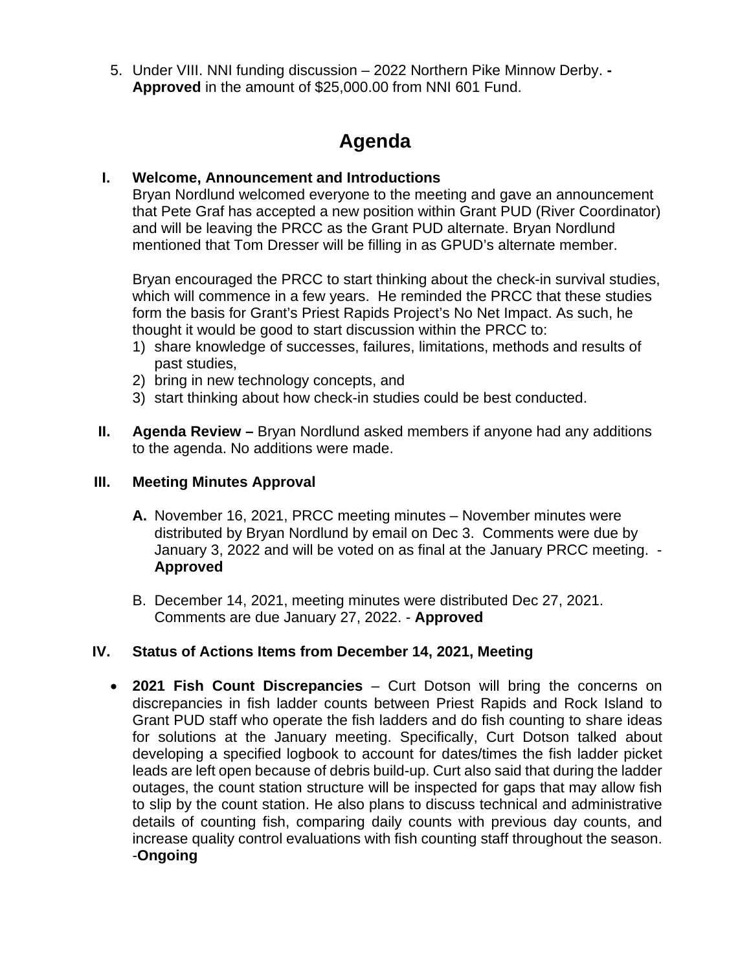5. Under VIII. NNI funding discussion – 2022 Northern Pike Minnow Derby. **- Approved** in the amount of \$25,000.00 from NNI 601 Fund.

## **Agenda**

#### **I. Welcome, Announcement and Introductions**

Bryan Nordlund welcomed everyone to the meeting and gave an announcement that Pete Graf has accepted a new position within Grant PUD (River Coordinator) and will be leaving the PRCC as the Grant PUD alternate. Bryan Nordlund mentioned that Tom Dresser will be filling in as GPUD's alternate member.

Bryan encouraged the PRCC to start thinking about the check-in survival studies, which will commence in a few years. He reminded the PRCC that these studies form the basis for Grant's Priest Rapids Project's No Net Impact. As such, he thought it would be good to start discussion within the PRCC to:

- 1) share knowledge of successes, failures, limitations, methods and results of past studies,
- 2) bring in new technology concepts, and
- 3) start thinking about how check-in studies could be best conducted.
- **II. Agenda Review –** Bryan Nordlund asked members if anyone had any additions to the agenda. No additions were made.

#### **III. Meeting Minutes Approval**

- **A.** November 16, 2021, PRCC meeting minutes November minutes were distributed by Bryan Nordlund by email on Dec 3. Comments were due by January 3, 2022 and will be voted on as final at the January PRCC meeting. - **Approved**
- B. December 14, 2021, meeting minutes were distributed Dec 27, 2021. Comments are due January 27, 2022. - **Approved**

#### **IV. Status of Actions Items from December 14, 2021, Meeting**

• **2021 Fish Count Discrepancies** – Curt Dotson will bring the concerns on discrepancies in fish ladder counts between Priest Rapids and Rock Island to Grant PUD staff who operate the fish ladders and do fish counting to share ideas for solutions at the January meeting. Specifically, Curt Dotson talked about developing a specified logbook to account for dates/times the fish ladder picket leads are left open because of debris build-up. Curt also said that during the ladder outages, the count station structure will be inspected for gaps that may allow fish to slip by the count station. He also plans to discuss technical and administrative details of counting fish, comparing daily counts with previous day counts, and increase quality control evaluations with fish counting staff throughout the season. -**Ongoing**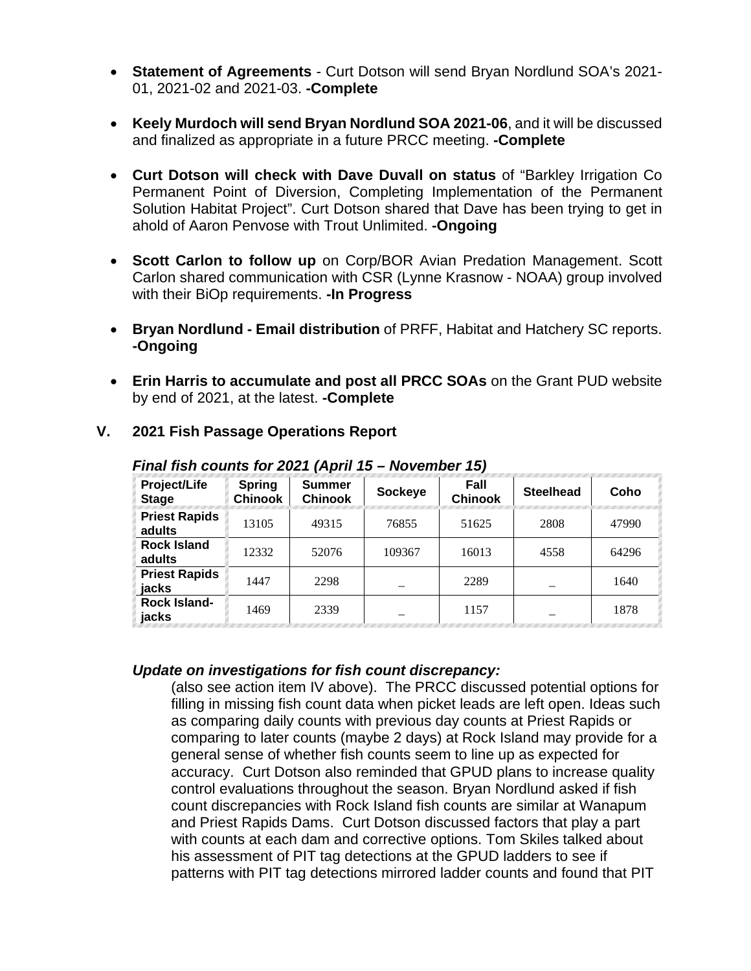- **Statement of Agreements** Curt Dotson will send Bryan Nordlund SOA's 2021- 01, 2021-02 and 2021-03. **-Complete**
- **Keely Murdoch will send Bryan Nordlund SOA 2021-06**, and it will be discussed and finalized as appropriate in a future PRCC meeting. **-Complete**
- **Curt Dotson will check with Dave Duvall on status** of "Barkley Irrigation Co Permanent Point of Diversion, Completing Implementation of the Permanent Solution Habitat Project". Curt Dotson shared that Dave has been trying to get in ahold of Aaron Penvose with Trout Unlimited. **-Ongoing**
- **Scott Carlon to follow up** on Corp/BOR Avian Predation Management. Scott Carlon shared communication with CSR (Lynne Krasnow - NOAA) group involved with their BiOp requirements. **-In Progress**
- **Bryan Nordlund - Email distribution** of PRFF, Habitat and Hatchery SC reports. **-Ongoing**
- **Erin Harris to accumulate and post all PRCC SOAs** on the Grant PUD website by end of 2021, at the latest. **-Complete**

| Project/Life<br><b>Stage</b>   | <b>Spring</b><br><b>Chinook</b> | <b>Summer</b><br><b>Chinook</b> | <b>Sockeye</b> | Fall<br><b>Chinook</b> | <b>Steelhead</b> | Coho  |
|--------------------------------|---------------------------------|---------------------------------|----------------|------------------------|------------------|-------|
| <b>Priest Rapids</b><br>adults | 13105                           | 49315                           | 76855          | 51625                  | 2808             | 47990 |
| <b>Rock Island</b><br>adults   | 12332                           | 52076                           | 109367         | 16013                  | 4558             | 64296 |
| <b>Priest Rapids</b><br>jacks  | 1447                            | 2298                            |                | 2289                   |                  | 1640  |
| <b>Rock Island-</b><br>jacks   | 1469                            | 2339                            |                | 1157                   |                  | 1878  |

#### **V. 2021 Fish Passage Operations Report**

*Final fish counts for 2021 (April 15 – November 15)*

#### *Update on investigations for fish count discrepancy:*

(also see action item IV above). The PRCC discussed potential options for filling in missing fish count data when picket leads are left open. Ideas such as comparing daily counts with previous day counts at Priest Rapids or comparing to later counts (maybe 2 days) at Rock Island may provide for a general sense of whether fish counts seem to line up as expected for accuracy. Curt Dotson also reminded that GPUD plans to increase quality control evaluations throughout the season. Bryan Nordlund asked if fish count discrepancies with Rock Island fish counts are similar at Wanapum and Priest Rapids Dams. Curt Dotson discussed factors that play a part with counts at each dam and corrective options. Tom Skiles talked about his assessment of PIT tag detections at the GPUD ladders to see if patterns with PIT tag detections mirrored ladder counts and found that PIT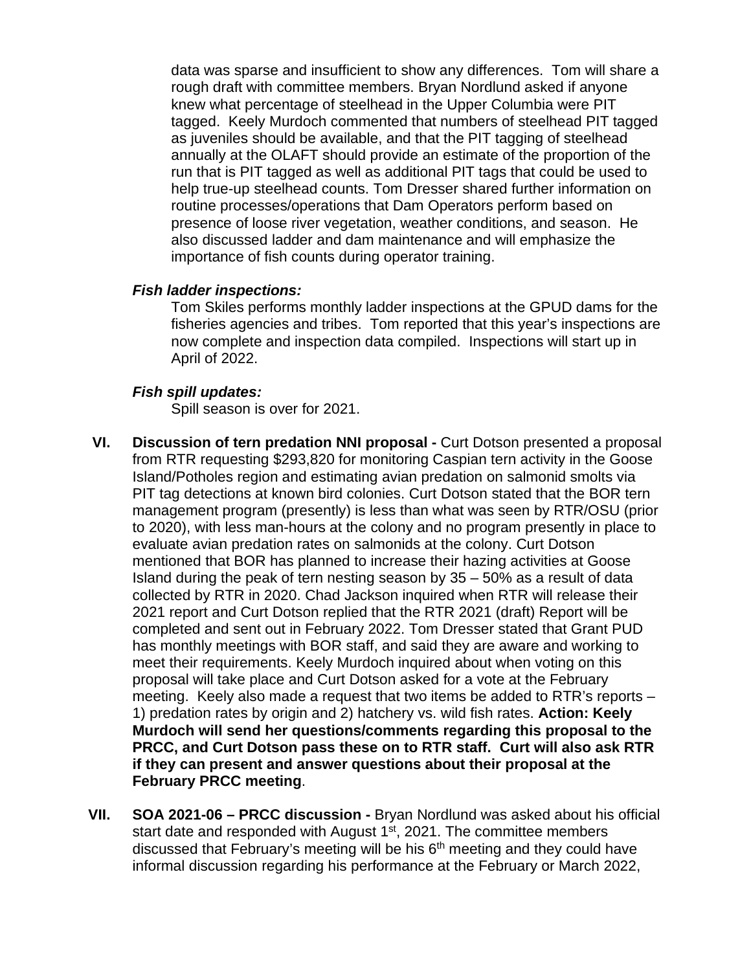data was sparse and insufficient to show any differences. Tom will share a rough draft with committee members. Bryan Nordlund asked if anyone knew what percentage of steelhead in the Upper Columbia were PIT tagged. Keely Murdoch commented that numbers of steelhead PIT tagged as juveniles should be available, and that the PIT tagging of steelhead annually at the OLAFT should provide an estimate of the proportion of the run that is PIT tagged as well as additional PIT tags that could be used to help true-up steelhead counts. Tom Dresser shared further information on routine processes/operations that Dam Operators perform based on presence of loose river vegetation, weather conditions, and season. He also discussed ladder and dam maintenance and will emphasize the importance of fish counts during operator training.

#### *Fish ladder inspections:*

Tom Skiles performs monthly ladder inspections at the GPUD dams for the fisheries agencies and tribes. Tom reported that this year's inspections are now complete and inspection data compiled. Inspections will start up in April of 2022.

#### *Fish spill updates:*

Spill season is over for 2021.

- **VI. Discussion of tern predation NNI proposal -** Curt Dotson presented a proposal from RTR requesting \$293,820 for monitoring Caspian tern activity in the Goose Island/Potholes region and estimating avian predation on salmonid smolts via PIT tag detections at known bird colonies. Curt Dotson stated that the BOR tern management program (presently) is less than what was seen by RTR/OSU (prior to 2020), with less man-hours at the colony and no program presently in place to evaluate avian predation rates on salmonids at the colony. Curt Dotson mentioned that BOR has planned to increase their hazing activities at Goose Island during the peak of tern nesting season by 35 – 50% as a result of data collected by RTR in 2020. Chad Jackson inquired when RTR will release their 2021 report and Curt Dotson replied that the RTR 2021 (draft) Report will be completed and sent out in February 2022. Tom Dresser stated that Grant PUD has monthly meetings with BOR staff, and said they are aware and working to meet their requirements. Keely Murdoch inquired about when voting on this proposal will take place and Curt Dotson asked for a vote at the February meeting. Keely also made a request that two items be added to RTR's reports – 1) predation rates by origin and 2) hatchery vs. wild fish rates. **Action: Keely Murdoch will send her questions/comments regarding this proposal to the PRCC, and Curt Dotson pass these on to RTR staff. Curt will also ask RTR if they can present and answer questions about their proposal at the February PRCC meeting**.
- **VII. SOA 2021-06 – PRCC discussion -** Bryan Nordlund was asked about his official start date and responded with August  $1<sup>st</sup>$ , 2021. The committee members discussed that February's meeting will be his 6<sup>th</sup> meeting and they could have informal discussion regarding his performance at the February or March 2022,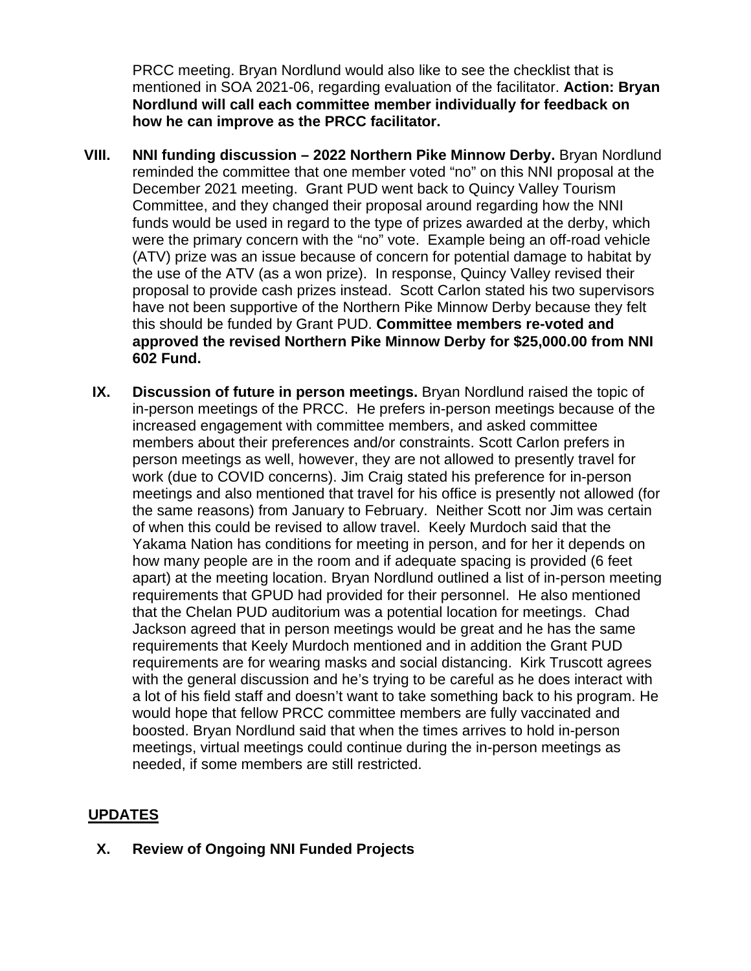PRCC meeting. Bryan Nordlund would also like to see the checklist that is mentioned in SOA 2021-06, regarding evaluation of the facilitator. **Action: Bryan Nordlund will call each committee member individually for feedback on how he can improve as the PRCC facilitator.** 

- **VIII. NNI funding discussion – 2022 Northern Pike Minnow Derby.** Bryan Nordlund reminded the committee that one member voted "no" on this NNI proposal at the December 2021 meeting. Grant PUD went back to Quincy Valley Tourism Committee, and they changed their proposal around regarding how the NNI funds would be used in regard to the type of prizes awarded at the derby, which were the primary concern with the "no" vote. Example being an off-road vehicle (ATV) prize was an issue because of concern for potential damage to habitat by the use of the ATV (as a won prize). In response, Quincy Valley revised their proposal to provide cash prizes instead. Scott Carlon stated his two supervisors have not been supportive of the Northern Pike Minnow Derby because they felt this should be funded by Grant PUD. **Committee members re-voted and approved the revised Northern Pike Minnow Derby for \$25,000.00 from NNI 602 Fund.** 
	- **IX. Discussion of future in person meetings.** Bryan Nordlund raised the topic of in-person meetings of the PRCC. He prefers in-person meetings because of the increased engagement with committee members, and asked committee members about their preferences and/or constraints. Scott Carlon prefers in person meetings as well, however, they are not allowed to presently travel for work (due to COVID concerns). Jim Craig stated his preference for in-person meetings and also mentioned that travel for his office is presently not allowed (for the same reasons) from January to February. Neither Scott nor Jim was certain of when this could be revised to allow travel. Keely Murdoch said that the Yakama Nation has conditions for meeting in person, and for her it depends on how many people are in the room and if adequate spacing is provided (6 feet apart) at the meeting location. Bryan Nordlund outlined a list of in-person meeting requirements that GPUD had provided for their personnel. He also mentioned that the Chelan PUD auditorium was a potential location for meetings. Chad Jackson agreed that in person meetings would be great and he has the same requirements that Keely Murdoch mentioned and in addition the Grant PUD requirements are for wearing masks and social distancing. Kirk Truscott agrees with the general discussion and he's trying to be careful as he does interact with a lot of his field staff and doesn't want to take something back to his program. He would hope that fellow PRCC committee members are fully vaccinated and boosted. Bryan Nordlund said that when the times arrives to hold in-person meetings, virtual meetings could continue during the in-person meetings as needed, if some members are still restricted.

#### **UPDATES**

**X. Review of Ongoing NNI Funded Projects**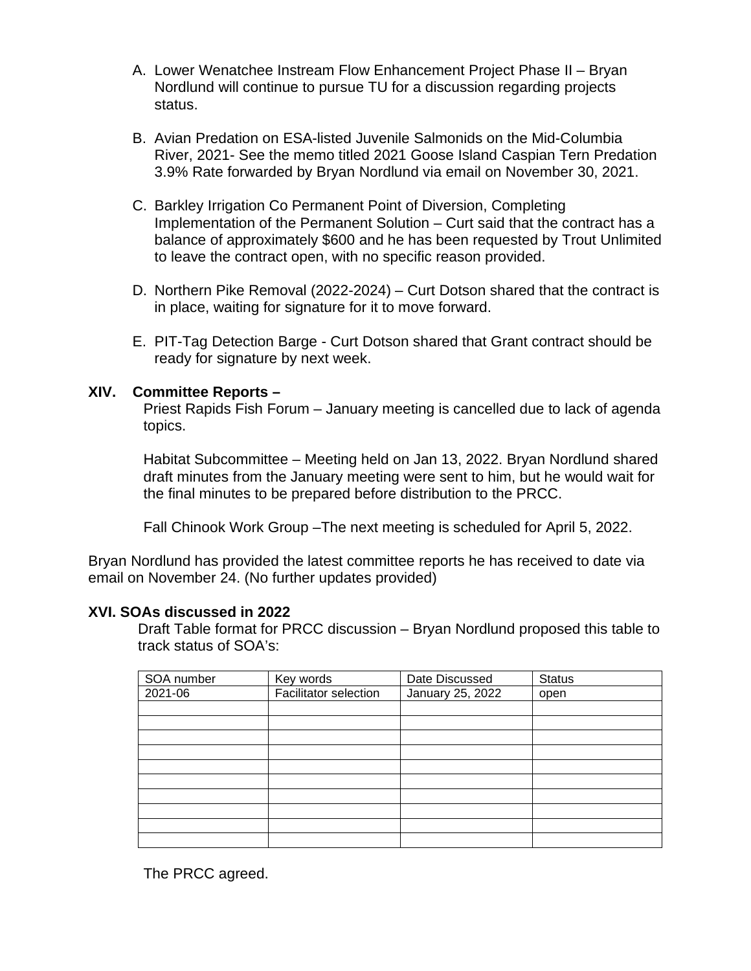- A. Lower Wenatchee Instream Flow Enhancement Project Phase II Bryan Nordlund will continue to pursue TU for a discussion regarding projects status.
- B. Avian Predation on ESA-listed Juvenile Salmonids on the Mid-Columbia River, 2021- See the memo titled 2021 Goose Island Caspian Tern Predation 3.9% Rate forwarded by Bryan Nordlund via email on November 30, 2021.
- C. Barkley Irrigation Co Permanent Point of Diversion, Completing Implementation of the Permanent Solution – Curt said that the contract has a balance of approximately \$600 and he has been requested by Trout Unlimited to leave the contract open, with no specific reason provided.
- D. Northern Pike Removal (2022-2024) Curt Dotson shared that the contract is in place, waiting for signature for it to move forward.
- E. PIT-Tag Detection Barge Curt Dotson shared that Grant contract should be ready for signature by next week.

#### **XIV. Committee Reports –**

Priest Rapids Fish Forum – January meeting is cancelled due to lack of agenda topics.

Habitat Subcommittee – Meeting held on Jan 13, 2022. Bryan Nordlund shared draft minutes from the January meeting were sent to him, but he would wait for the final minutes to be prepared before distribution to the PRCC.

Fall Chinook Work Group –The next meeting is scheduled for April 5, 2022.

Bryan Nordlund has provided the latest committee reports he has received to date via email on November 24. (No further updates provided)

#### **XVI. SOAs discussed in 2022**

Draft Table format for PRCC discussion – Bryan Nordlund proposed this table to track status of SOA's:

| SOA number | Key words                    | Date Discussed   | Status |
|------------|------------------------------|------------------|--------|
| 2021-06    | <b>Facilitator selection</b> | January 25, 2022 | open   |
|            |                              |                  |        |
|            |                              |                  |        |
|            |                              |                  |        |
|            |                              |                  |        |
|            |                              |                  |        |
|            |                              |                  |        |
|            |                              |                  |        |
|            |                              |                  |        |
|            |                              |                  |        |
|            |                              |                  |        |

The PRCC agreed.